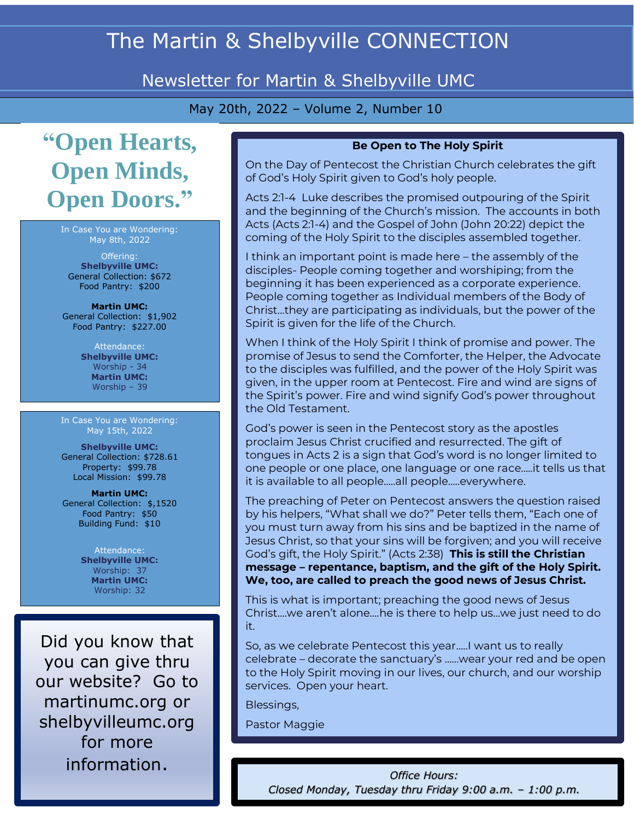# The Martin & Shelbyville CONNECTION

# Newsletter for Martin & Shelbyville UMC

May 20th, 2022 – Volume 2, Number 10

# **"Open Hearts, Open Minds, Open Doors."**

In Case You are Wondering: May 8th, 2022

Offering: **Shelbyville UMC:** General Collection: \$672 Food Pantry: \$200

**Martin UMC:**  General Collection: \$1,902 Food Pantry: \$227.00

> Attendance: **Shelbyville UMC:**  Worship - 34 **Martin UMC:**  Worship – 39

In Case You are Wondering: May 15th, 2022

**Shelbyville UMC:** General Collection: \$728.61 Property: \$99.78 Local Mission: \$99.78

**Martin UMC:**  General Collection: \$,1520 Food Pantry: \$50 Building Fund: \$10

> Attendance: **Shelbyville UMC:** Worship: 37 **Martin UMC:** Worship: 32

Did you know that you can give thru our website? Go to martinumc.org or shelbyvilleumc.org for more information.

#### **Be Open to The Holy Spirit**

On the Day of Pentecost the Christian Church celebrates the gift of God's Holy Spirit given to God's holy people.

Acts 2:1-4 Luke describes the promised outpouring of the Spirit and the beginning of the Church's mission. The accounts in both Acts (Acts 2:1-4) and the Gospel of John (John 20:22) depict the coming of the Holy Spirit to the disciples assembled together.

I think an important point is made here – the assembly of the disciples- People coming together and worshiping; from the beginning it has been experienced as a corporate experience. People coming together as Individual members of the Body of Christ…they are participating as individuals, but the power of the Spirit is given for the life of the Church.

When I think of the Holy Spirit I think of promise and power. The promise of Jesus to send the Comforter, the Helper, the Advocate to the disciples was fulfilled, and the power of the Holy Spirit was given, in the upper room at Pentecost. Fire and wind are signs of the Spirit's power. Fire and wind signify God's power throughout the Old Testament.

God's power is seen in the Pentecost story as the apostles proclaim Jesus Christ crucified and resurrected. The gift of tongues in Acts 2 is a sign that God's word is no longer limited to one people or one place, one language or one race…..it tells us that it is available to all people…..all people…..everywhere.

The preaching of Peter on Pentecost answers the question raised by his helpers, "What shall we do?" Peter tells them, "Each one of you must turn away from his sins and be baptized in the name of Jesus Christ, so that your sins will be forgiven; and you will receive God's gift, the Holy Spirit." (Acts 2:38) **This is still the Christian message – repentance, baptism, and the gift of the Holy Spirit. We, too, are called to preach the good news of Jesus Christ.**

This is what is important; preaching the good news of Jesus Christ….we aren't alone….he is there to help us…we just need to do it.

So, as we celebrate Pentecost this year…..I want us to really celebrate – decorate the sanctuary's ……wear your red and be open to the Holy Spirit moving in our lives, our church, and our worship services. Open your heart.

Blessings,

Pastor Maggie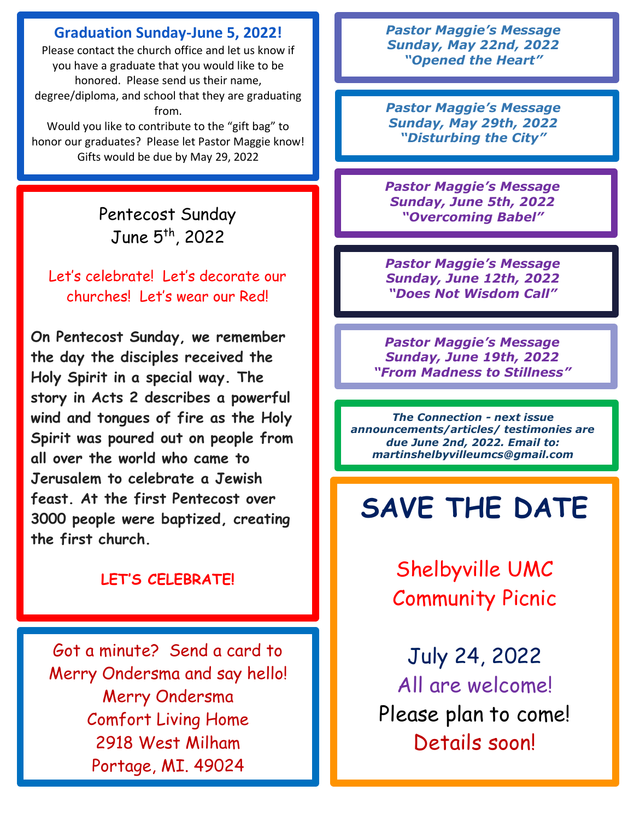### **Graduation Sunday-June 5, 2022!**

Please contact the church office and let us know if you have a graduate that you would like to be honored. Please send us their name, degree/diploma, and school that they are graduating from.

Would you like to contribute to the "gift bag" to honor our graduates? Please let Pastor Maggie know! Gifts would be due by May 29, 2022

> Pentecost Sunday June 5 th, 2022

Let's celebrate! Let's decorate our churches! Let's wear our Red!

**On Pentecost Sunday, we remember the day the disciples received the Holy Spirit in a special way. The story in Acts 2 describes a powerful wind and tongues of fire as the Holy Spirit was poured out on people from all over the world who came to Jerusalem to celebrate a Jewish feast. At the first Pentecost over 3000 people were baptized, creating the first church.**

## **LET'S CELEBRATE!**

Got a minute? Send a card to Merry Ondersma and say hello! Merry Ondersma Comfort Living Home 2918 West Milham Portage, MI. 49024

*Pastor Maggie's Message Sunday, May 22nd, 2022 "Opened the Heart"*

*Pastor Maggie's Message Sunday, May 29th, 2022 "Disturbing the City"*

*Pastor Maggie's Message Sunday, June 5th, 2022 "Overcoming Babel"*

*Pastor Maggie's Message Sunday, June 12th, 2022 "Does Not Wisdom Call"*

*Pastor Maggie's Message Sunday, June 19th, 2022 "From Madness to Stillness"*

*The Connection - next issue announcements/articles/ testimonies are due June 2nd, 2022. Email to: martinshelbyvilleumcs@gmail.com*

# **SAVE THE DATE**

Shelbyville UMC Community Picnic

July 24, 2022 All are welcome! Please plan to come! Details soon!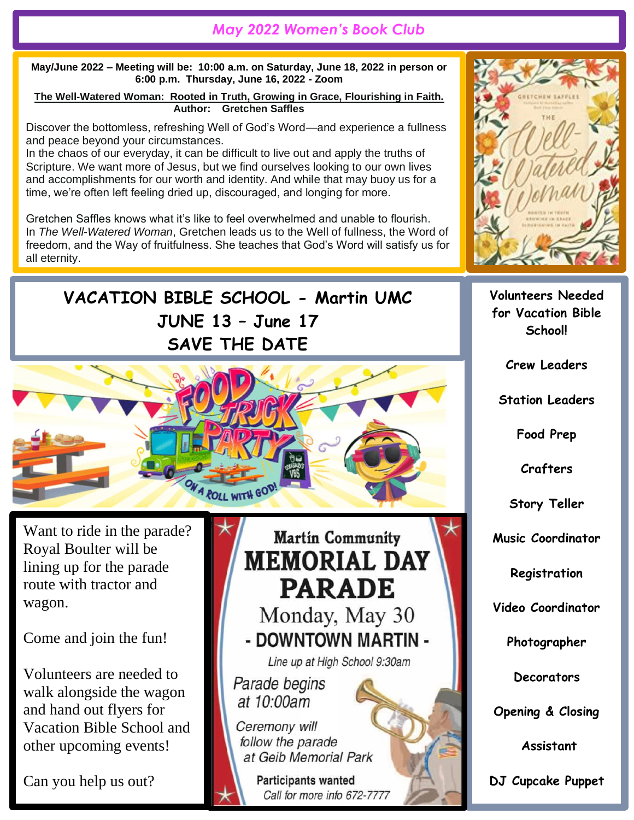# *May 2022 Women's Book Club*

**May/June 2022 – Meeting will be: 10:00 a.m. on Saturday, June 18, 2022 in person or 6:00 p.m. Thursday, June 16, 2022 - Zoom**

**The Well-Watered Woman: Rooted in Truth, Growing in Grace, Flourishing in Faith. Author: Gretchen Saffles**

Discover the bottomless, refreshing Well of God's Word—and experience a fullness and peace beyond your circumstances.

In the chaos of our everyday, it can be difficult to live out and apply the truths of Scripture. We want more of Jesus, but we find ourselves looking to our own lives and accomplishments for our worth and identity. And while that may buoy us for a time, we're often left feeling dried up, discouraged, and longing for more.

Gretchen Saffles knows what it's like to feel overwhelmed and unable to flourish. In *The Well-Watered Woman*, Gretchen leads us to the Well of fullness, the Word of freedom, and the Way of fruitfulness. She teaches that God's Word will satisfy us for all eternity.

Using Scripture and her own personal story of surrender, Gretchen offers spiritually

**Volunteers Needed for Vacation Bible School!**

**Crew Leaders**

**Station Leaders**

**Food Prep**

**Crafters**

**Story Teller**

**Music Coordinator**

**Registration**

**Video Coordinator**

**Photographer**

**Decorators**

**Opening & Closing**

**Assistant**

**DJ Cupcake Puppet**

**VACATION BIBLE SCHOOL - Martin UMC**  $\sim$  the set  $\sim$   $\sim$   $\sim$   $\sim$ **JUNE 13 – June 17 SAVE THE DATE**

Want to ride in the parade? Royal Boulter will be lining up for the parade route with tractor and wagon.

Come and join the fun!

Volunteers are needed to walk alongside the wagon and hand out flyers for Vacation Bible School and other upcoming events!

Can you help us out?



Ceremony will follow the parade at Geib Memorial Park

> **Participants wanted** Call for more info 672-7777